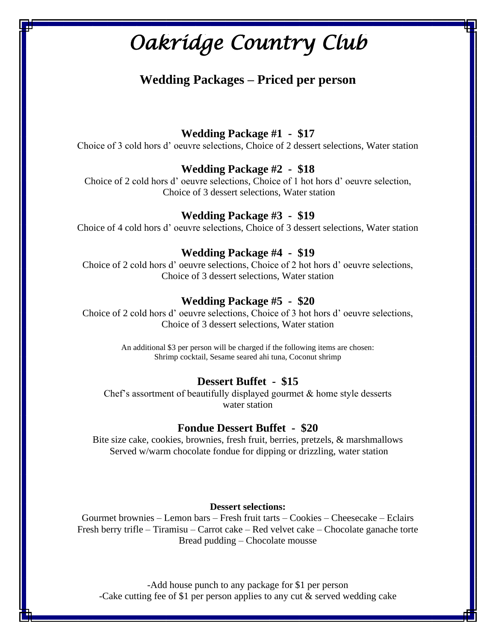## **Wedding Packages – Priced per person**

**Wedding Package #1 - \$17**

Choice of 3 cold hors d' oeuvre selections, Choice of 2 dessert selections, Water station

### **Wedding Package #2 - \$18**

Choice of 2 cold hors d' oeuvre selections, Choice of 1 hot hors d' oeuvre selection, Choice of 3 dessert selections, Water station

### **Wedding Package #3 - \$19**

Choice of 4 cold hors d' oeuvre selections, Choice of 3 dessert selections, Water station

### **Wedding Package #4 - \$19**

Choice of 2 cold hors d' oeuvre selections, Choice of 2 hot hors d' oeuvre selections, Choice of 3 dessert selections, Water station

### **Wedding Package #5 - \$20**

Choice of 2 cold hors d' oeuvre selections, Choice of 3 hot hors d' oeuvre selections, Choice of 3 dessert selections, Water station

> An additional \$3 per person will be charged if the following items are chosen: Shrimp cocktail, Sesame seared ahi tuna, Coconut shrimp

#### **Dessert Buffet - \$15**

Chef's assortment of beautifully displayed gourmet  $\&$  home style desserts water station

#### **Fondue Dessert Buffet - \$20**

Bite size cake, cookies, brownies, fresh fruit, berries, pretzels, & marshmallows Served w/warm chocolate fondue for dipping or drizzling, water station

#### **Dessert selections:**

Gourmet brownies – Lemon bars – Fresh fruit tarts – Cookies – Cheesecake – Eclairs Fresh berry trifle – Tiramisu – Carrot cake – Red velvet cake – Chocolate ganache torte Bread pudding – Chocolate mousse

-Add house punch to any package for \$1 per person -Cake cutting fee of \$1 per person applies to any cut & served wedding cake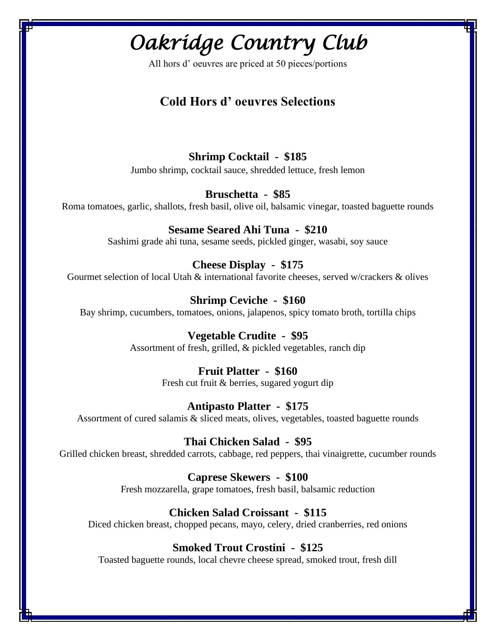All hors d' oeuvres are priced at 50 pieces/portions

## **Cold Hors d' oeuvres Selections**

### **Shrimp Cocktail - \$185**

Jumbo shrimp, cocktail sauce, shredded lettuce, fresh lemon

### **Bruschetta - \$85**

Roma tomatoes, garlic, shallots, fresh basil, olive oil, balsamic vinegar, toasted baguette rounds

## **Sesame Seared Ahi Tuna - \$210**

Sashimi grade ahi tuna, sesame seeds, pickled ginger, wasabi, soy sauce

### **Cheese Display - \$175**

Gourmet selection of local Utah & international favorite cheeses, served w/crackers & olives

### **Shrimp Ceviche - \$160**

Bay shrimp, cucumbers, tomatoes, onions, jalapenos, spicy tomato broth, tortilla chips

### **Vegetable Crudite - \$95**

Assortment of fresh, grilled, & pickled vegetables, ranch dip

### **Fruit Platter - \$160**

Fresh cut fruit & berries, sugared yogurt dip

### **Antipasto Platter - \$175**

Assortment of cured salamis & sliced meats, olives, vegetables, toasted baguette rounds

### **Thai Chicken Salad - \$95**

Grilled chicken breast, shredded carrots, cabbage, red peppers, thai vinaigrette, cucumber rounds

### **Caprese Skewers - \$100**

Fresh mozzarella, grape tomatoes, fresh basil, balsamic reduction

### **Chicken Salad Croissant - \$115**

Diced chicken breast, chopped pecans, mayo, celery, dried cranberries, red onions

### **Smoked Trout Crostini - \$125**

Toasted baguette rounds, local chevre cheese spread, smoked trout, fresh dill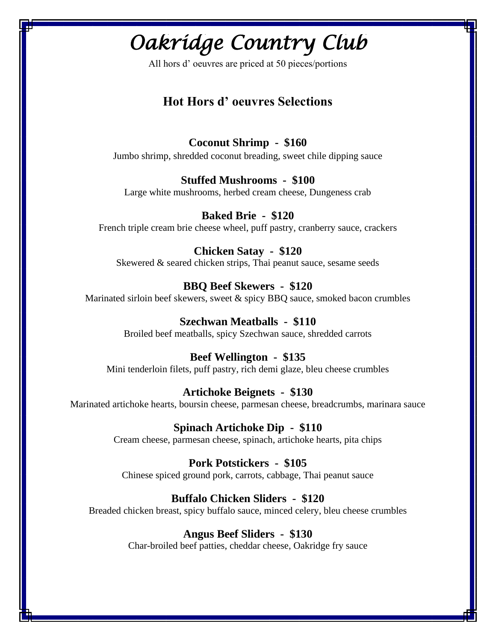All hors d' oeuvres are priced at 50 pieces/portions

## **Hot Hors d' oeuvres Selections**

### **Coconut Shrimp - \$160**

Jumbo shrimp, shredded coconut breading, sweet chile dipping sauce

### **Stuffed Mushrooms - \$100**

Large white mushrooms, herbed cream cheese, Dungeness crab

## **Baked Brie - \$120**

French triple cream brie cheese wheel, puff pastry, cranberry sauce, crackers

### **Chicken Satay - \$120**

Skewered & seared chicken strips, Thai peanut sauce, sesame seeds

### **BBQ Beef Skewers - \$120**

Marinated sirloin beef skewers, sweet & spicy BBQ sauce, smoked bacon crumbles

### **Szechwan Meatballs - \$110**

Broiled beef meatballs, spicy Szechwan sauce, shredded carrots

### **Beef Wellington - \$135**

Mini tenderloin filets, puff pastry, rich demi glaze, bleu cheese crumbles

### **Artichoke Beignets - \$130**

Marinated artichoke hearts, boursin cheese, parmesan cheese, breadcrumbs, marinara sauce

### **Spinach Artichoke Dip - \$110**

Cream cheese, parmesan cheese, spinach, artichoke hearts, pita chips

### **Pork Potstickers - \$105**

Chinese spiced ground pork, carrots, cabbage, Thai peanut sauce

### **Buffalo Chicken Sliders - \$120**

Breaded chicken breast, spicy buffalo sauce, minced celery, bleu cheese crumbles

### **Angus Beef Sliders - \$130**

Char-broiled beef patties, cheddar cheese, Oakridge fry sauce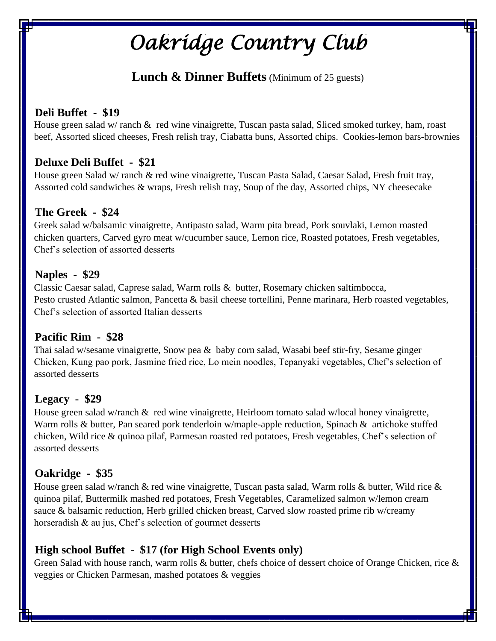## **Lunch & Dinner Buffets** (Minimum of 25 guests)

## **Deli Buffet - \$19**

 House green salad w/ ranch & red wine vinaigrette, Tuscan pasta salad, Sliced smoked turkey, ham, roast beef, Assorted sliced cheeses, Fresh relish tray, Ciabatta buns, Assorted chips. Cookies-lemon bars-brownies

## **Deluxe Deli Buffet - \$21**

 House green Salad w/ ranch & red wine vinaigrette, Tuscan Pasta Salad, Caesar Salad, Fresh fruit tray, Assorted cold sandwiches & wraps, Fresh relish tray, Soup of the day, Assorted chips, NY cheesecake

## **The Greek - \$24**

 Greek salad w/balsamic vinaigrette, Antipasto salad, Warm pita bread, Pork souvlaki, Lemon roasted chicken quarters, Carved gyro meat w/cucumber sauce, Lemon rice, Roasted potatoes, Fresh vegetables, Chef's selection of assorted desserts

## **Naples - \$29**

 Classic Caesar salad, Caprese salad, Warm rolls & butter, Rosemary chicken saltimbocca, Pesto crusted Atlantic salmon, Pancetta & basil cheese tortellini, Penne marinara, Herb roasted vegetables, Chef's selection of assorted Italian desserts

## **Pacific Rim - \$28**

 Thai salad w/sesame vinaigrette, Snow pea & baby corn salad, Wasabi beef stir-fry, Sesame ginger Chicken, Kung pao pork, Jasmine fried rice, Lo mein noodles, Tepanyaki vegetables, Chef's selection of assorted desserts

## **Legacy - \$29**

House green salad w/ranch  $\&$  red wine vinaigrette, Heirloom tomato salad w/local honey vinaigrette, Warm rolls & butter, Pan seared pork tenderloin w/maple-apple reduction, Spinach & artichoke stuffed chicken, Wild rice & quinoa pilaf, Parmesan roasted red potatoes, Fresh vegetables, Chef's selection of assorted desserts

## **Oakridge - \$35**

House green salad w/ranch & red wine vinaigrette, Tuscan pasta salad, Warm rolls & butter, Wild rice & quinoa pilaf, Buttermilk mashed red potatoes, Fresh Vegetables, Caramelized salmon w/lemon cream sauce & balsamic reduction, Herb grilled chicken breast, Carved slow roasted prime rib w/creamy horseradish & au jus, Chef's selection of gourmet desserts

## **High school Buffet - \$17 (for High School Events only)**

 Green Salad with house ranch, warm rolls & butter, chefs choice of dessert choice of Orange Chicken, rice & veggies or Chicken Parmesan, mashed potatoes & veggies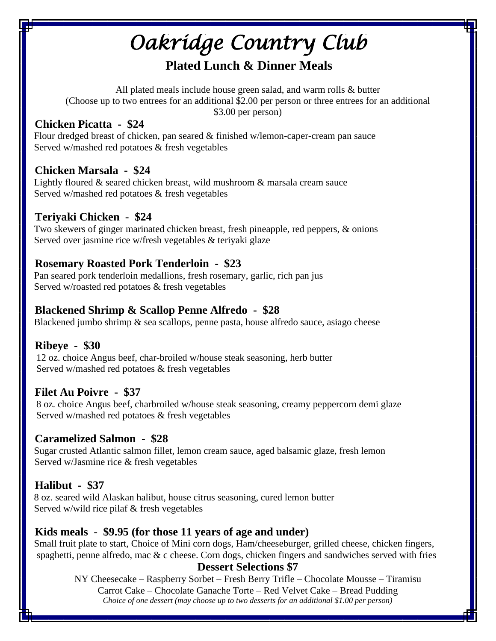## **Plated Lunch & Dinner Meals**

All plated meals include house green salad, and warm rolls & butter (Choose up to two entrees for an additional \$2.00 per person or three entrees for an additional \$3.00 per person)

## **Chicken Picatta - \$24**

 Flour dredged breast of chicken, pan seared & finished w/lemon-caper-cream pan sauce Served w/mashed red potatoes & fresh vegetables

## **Chicken Marsala - \$24**

Lightly floured & seared chicken breast, wild mushroom & marsala cream sauce Served w/mashed red potatoes & fresh vegetables

## **Teriyaki Chicken - \$24**

 Two skewers of ginger marinated chicken breast, fresh pineapple, red peppers, & onions Served over jasmine rice w/fresh vegetables & teriyaki glaze

## **Rosemary Roasted Pork Tenderloin - \$23**

 Pan seared pork tenderloin medallions, fresh rosemary, garlic, rich pan jus Served w/roasted red potatoes & fresh vegetables

## **Blackened Shrimp & Scallop Penne Alfredo - \$28**

Blackened jumbo shrimp  $\&$  sea scallops, penne pasta, house alfredo sauce, asiago cheese

## **Ribeye - \$30**

 12 oz. choice Angus beef, char-broiled w/house steak seasoning, herb butter Served w/mashed red potatoes & fresh vegetables

## **Filet Au Poivre - \$37**

8 8 oz. choice Angus beef, charbroiled w/house steak seasoning, creamy peppercorn demi glaze Served w/mashed red potatoes & fresh vegetables

## **Caramelized Salmon - \$28**

 Sugar crusted Atlantic salmon fillet, lemon cream sauce, aged balsamic glaze, fresh lemon Served w/Jasmine rice & fresh vegetables

## **Halibut - \$37**

88 oz. seared wild Alaskan halibut, house citrus seasoning, cured lemon butter Served w/wild rice pilaf & fresh vegetables

## **Kids meals - \$9.95 (for those 11 years of age and under)**

Small fruit plate to start, Choice of Mini corn dogs, Ham/cheeseburger, grilled cheese, chicken fingers, spaghetti, penne alfredo, mac  $\&$  c cheese. Corn dogs, chicken fingers and sandwiches served with fries

## **Dessert Selections \$7**

NY Cheesecake – Raspberry Sorbet – Fresh Berry Trifle – Chocolate Mousse – Tiramisu Carrot Cake – Chocolate Ganache Torte – Red Velvet Cake – Bread Pudding *Choice of one dessert (may choose up to two desserts for an additional \$1.00 per person)*